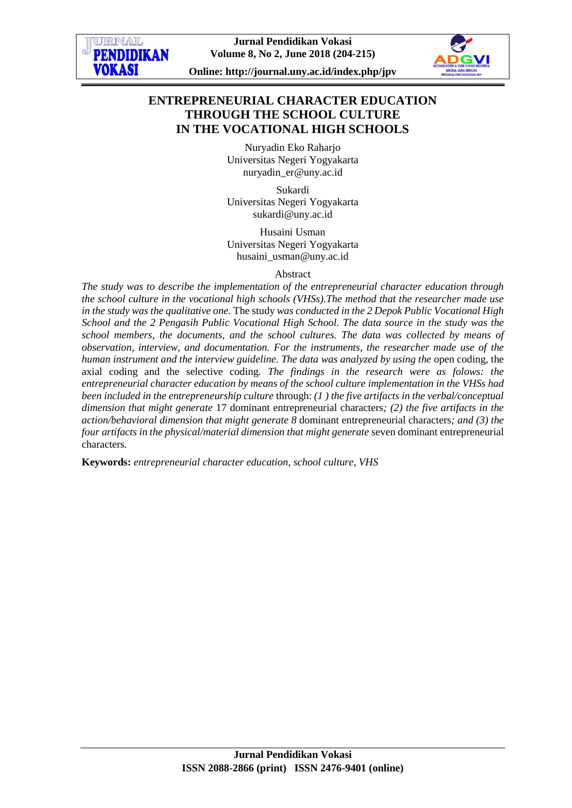

**Online: http://journal.uny.ac.id/index.php/jpv**

# **ENTREPRENEURIAL CHARACTER EDUCATION THROUGH THE SCHOOL CULTURE IN THE VOCATIONAL HIGH SCHOOLS**

Nuryadin Eko Raharjo Universitas Negeri Yogyakarta [nuryadin\\_er@uny.ac.id](mailto:nuryadin_er@uny.ac.id)

Sukardi Universitas Negeri Yogyakarta [sukardi@uny.ac.id](mailto:sukardi@uny.ac.id)

Husaini Usman Universitas Negeri Yogyakarta [husaini\\_usman@uny.ac.id](mailto:husaini_usman@uny.ac.id)

#### Abstract

*The study was to describe the implementation of the entrepreneurial character education through the school culture in the vocational high schools (VHSs).The method that the researcher made use in the study was the qualitative one.* The study *was conducted in the 2 Depok Public Vocational High School and the 2 Pengasih Public Vocational High School. The data source in the study was the school members, the documents, and the school cultures. The data was collected by means of observation, interview, and documentation. For the instruments, the researcher made use of the human instrument and the interview guideline. The data was analyzed by using the* open coding, the axial coding and the selective coding*. The findings in the research were as folows: the entrepreneurial character education by means of the school culture implementation in the VHSs had been included in the entrepreneurship culture* through: *(1 ) the five artifacts in the verbal/conceptual dimension that might generate* 17 dominant entrepreneurial characters*; (2) the five artifacts in the action/behavioral dimension that might generate 8* dominant entrepreneurial characters*; and (3) the four artifacts in the physical/material dimension that might generate* seven dominant entrepreneurial characters*.* 

**Keywords:** *entrepreneurial character education, school culture, VHS*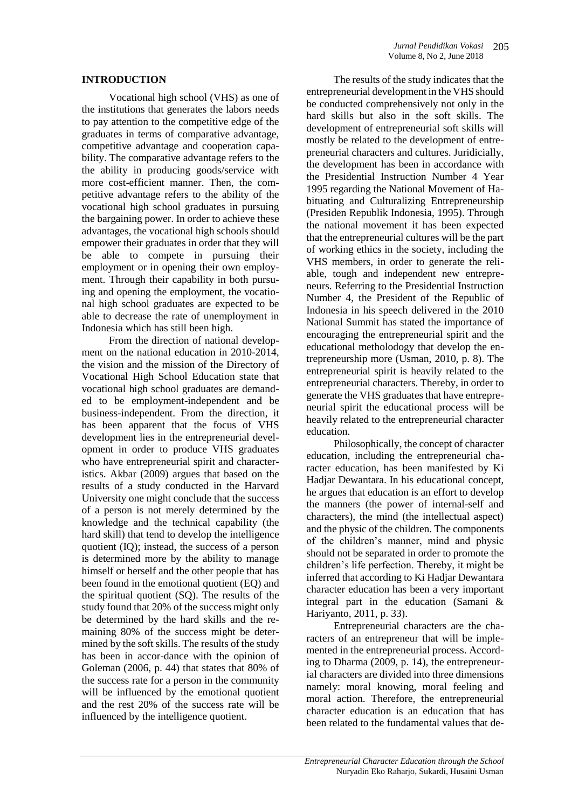#### **INTRODUCTION**

Vocational high school (VHS) as one of the institutions that generates the labors needs to pay attention to the competitive edge of the graduates in terms of comparative advantage, competitive advantage and cooperation capability. The comparative advantage refers to the the ability in producing goods/service with more cost-efficient manner. Then, the competitive advantage refers to the ability of the vocational high school graduates in pursuing the bargaining power. In order to achieve these advantages, the vocational high schools should empower their graduates in order that they will be able to compete in pursuing their employment or in opening their own employment. Through their capability in both pursuing and opening the employment, the vocational high school graduates are expected to be able to decrease the rate of unemployment in Indonesia which has still been high.

From the direction of national development on the national education in 2010-2014, the vision and the mission of the Directory of Vocational High School Education state that vocational high school graduates are demanded to be employment-independent and be business-independent. From the direction, it has been apparent that the focus of VHS development lies in the entrepreneurial development in order to produce VHS graduates who have entrepreneurial spirit and characteristics. Akbar (2009) argues that based on the results of a study conducted in the Harvard University one might conclude that the success of a person is not merely determined by the knowledge and the technical capability (the hard skill) that tend to develop the intelligence quotient (IQ); instead, the success of a person is determined more by the ability to manage himself or herself and the other people that has been found in the emotional quotient (EQ) and the spiritual quotient (SQ). The results of the study found that 20% of the success might only be determined by the hard skills and the remaining 80% of the success might be determined by the soft skills. The results of the study has been in accor-dance with the opinion of Goleman (2006, p. 44) that states that 80% of the success rate for a person in the community will be influenced by the emotional quotient and the rest 20% of the success rate will be influenced by the intelligence quotient.

The results of the study indicates that the entrepreneurial development in the VHS should be conducted comprehensively not only in the hard skills but also in the soft skills. The development of entrepreneurial soft skills will mostly be related to the development of entrepreneurial characters and cultures. Juridicially, the development has been in accordance with the Presidential Instruction Number 4 Year 1995 regarding the National Movement of Habituating and Culturalizing Entrepreneurship (Presiden Republik Indonesia, 1995). Through the national movement it has been expected that the entrepreneurial cultures will be the part of working ethics in the society, including the VHS members, in order to generate the reliable, tough and independent new entrepreneurs. Referring to the Presidential Instruction Number 4, the President of the Republic of Indonesia in his speech delivered in the 2010 National Summit has stated the importance of encouraging the entrepreneurial spirit and the educational metholodogy that develop the entrepreneurship more (Usman, 2010, p. 8). The entrepreneurial spirit is heavily related to the entrepreneurial characters. Thereby, in order to generate the VHS graduates that have entrepreneurial spirit the educational process will be heavily related to the entrepreneurial character education.

Philosophically, the concept of character education, including the entrepreneurial character education, has been manifested by Ki Hadjar Dewantara. In his educational concept, he argues that education is an effort to develop the manners (the power of internal-self and characters), the mind (the intellectual aspect) and the physic of the children. The components of the children's manner, mind and physic should not be separated in order to promote the children's life perfection. Thereby, it might be inferred that according to Ki Hadjar Dewantara character education has been a very important integral part in the education (Samani & Hariyanto, 2011, p. 33).

Entrepreneurial characters are the characters of an entrepreneur that will be implemented in the entrepreneurial process. According to Dharma (2009, p. 14), the entrepreneurial characters are divided into three dimensions namely: moral knowing, moral feeling and moral action. Therefore, the entrepreneurial character education is an education that has been related to the fundamental values that de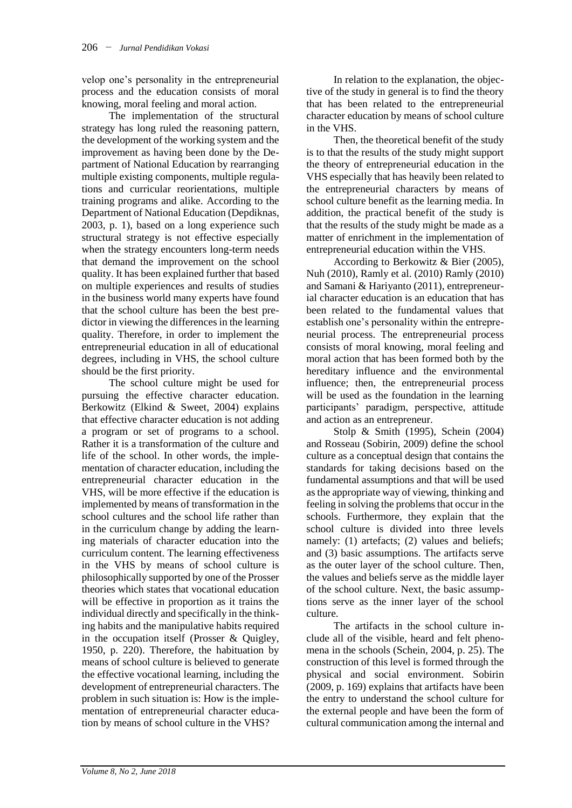velop one's personality in the entrepreneurial process and the education consists of moral knowing, moral feeling and moral action.

The implementation of the structural strategy has long ruled the reasoning pattern, the development of the working system and the improvement as having been done by the Department of National Education by rearranging multiple existing components, multiple regulations and curricular reorientations, multiple training programs and alike. According to the Department of National Education (Depdiknas, 2003, p. 1), based on a long experience such structural strategy is not effective especially when the strategy encounters long-term needs that demand the improvement on the school quality. It has been explained further that based on multiple experiences and results of studies in the business world many experts have found that the school culture has been the best predictor in viewing the differences in the learning quality. Therefore, in order to implement the entrepreneurial education in all of educational degrees, including in VHS, the school culture should be the first priority.

The school culture might be used for pursuing the effective character education. Berkowitz (Elkind & Sweet, 2004) explains that effective character education is not adding a program or set of programs to a school. Rather it is a transformation of the culture and life of the school. In other words, the implementation of character education, including the entrepreneurial character education in the VHS, will be more effective if the education is implemented by means of transformation in the school cultures and the school life rather than in the curriculum change by adding the learning materials of character education into the curriculum content. The learning effectiveness in the VHS by means of school culture is philosophically supported by one of the Prosser theories which states that vocational education will be effective in proportion as it trains the individual directly and specifically in the thinking habits and the manipulative habits required in the occupation itself (Prosser & Quigley, 1950, p. 220). Therefore, the habituation by means of school culture is believed to generate the effective vocational learning, including the development of entrepreneurial characters. The problem in such situation is: How is the implementation of entrepreneurial character education by means of school culture in the VHS?

In relation to the explanation, the objective of the study in general is to find the theory that has been related to the entrepreneurial character education by means of school culture in the VHS.

Then, the theoretical benefit of the study is to that the results of the study might support the theory of entrepreneurial education in the VHS especially that has heavily been related to the entrepreneurial characters by means of school culture benefit as the learning media. In addition, the practical benefit of the study is that the results of the study might be made as a matter of enrichment in the implementation of entrepreneurial education within the VHS.

According to Berkowitz & Bier (2005), Nuh (2010), Ramly et al. (2010) Ramly (2010) and Samani & Hariyanto (2011), entrepreneurial character education is an education that has been related to the fundamental values that establish one's personality within the entrepreneurial process. The entrepreneurial process consists of moral knowing, moral feeling and moral action that has been formed both by the hereditary influence and the environmental influence; then, the entrepreneurial process will be used as the foundation in the learning participants' paradigm, perspective, attitude and action as an entrepreneur.

Stolp & Smith (1995), Schein (2004) and Rosseau (Sobirin, 2009) define the school culture as a conceptual design that contains the standards for taking decisions based on the fundamental assumptions and that will be used as the appropriate way of viewing, thinking and feeling in solving the problems that occur in the schools. Furthermore, they explain that the school culture is divided into three levels namely: (1) artefacts; (2) values and beliefs; and (3) basic assumptions. The artifacts serve as the outer layer of the school culture. Then, the values and beliefs serve as the middle layer of the school culture. Next, the basic assumptions serve as the inner layer of the school culture.

The artifacts in the school culture include all of the visible, heard and felt phenomena in the schools (Schein, 2004, p. 25). The construction of this level is formed through the physical and social environment. Sobirin (2009, p. 169) explains that artifacts have been the entry to understand the school culture for the external people and have been the form of cultural communication among the internal and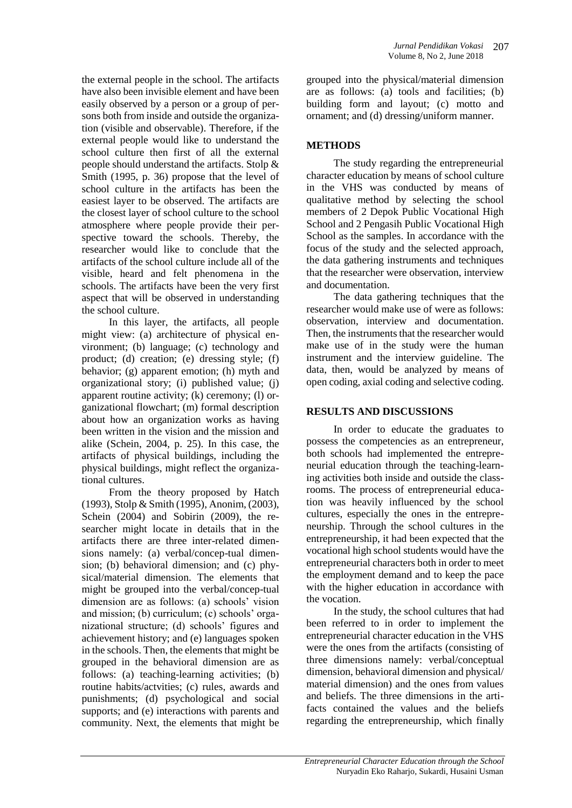the external people in the school. The artifacts have also been invisible element and have been easily observed by a person or a group of persons both from inside and outside the organization (visible and observable). Therefore, if the external people would like to understand the school culture then first of all the external people should understand the artifacts. Stolp & Smith (1995, p. 36) propose that the level of school culture in the artifacts has been the easiest layer to be observed. The artifacts are the closest layer of school culture to the school atmosphere where people provide their perspective toward the schools. Thereby, the researcher would like to conclude that the artifacts of the school culture include all of the visible, heard and felt phenomena in the schools. The artifacts have been the very first aspect that will be observed in understanding the school culture.

In this layer, the artifacts, all people might view: (a) architecture of physical environment; (b) language; (c) technology and product; (d) creation; (e) dressing style; (f) behavior; (g) apparent emotion; (h) myth and organizational story; (i) published value; (j) apparent routine activity; (k) ceremony; (l) organizational flowchart; (m) formal description about how an organization works as having been written in the vision and the mission and alike (Schein, 2004, p. 25). In this case, the artifacts of physical buildings, including the physical buildings, might reflect the organizational cultures.

From the theory proposed by Hatch (1993), Stolp & Smith (1995), Anonim, (2003), Schein (2004) and Sobirin (2009), the researcher might locate in details that in the artifacts there are three inter-related dimensions namely: (a) verbal/concep-tual dimension; (b) behavioral dimension; and (c) physical/material dimension. The elements that might be grouped into the verbal/concep-tual dimension are as follows: (a) schools' vision and mission; (b) curriculum; (c) schools' organizational structure; (d) schools' figures and achievement history; and (e) languages spoken in the schools. Then, the elements that might be grouped in the behavioral dimension are as follows: (a) teaching-learning activities; (b) routine habits/actvities; (c) rules, awards and punishments; (d) psychological and social supports; and (e) interactions with parents and community. Next, the elements that might be

grouped into the physical/material dimension are as follows: (a) tools and facilities; (b) building form and layout; (c) motto and ornament; and (d) dressing/uniform manner.

### **METHODS**

The study regarding the entrepreneurial character education by means of school culture in the VHS was conducted by means of qualitative method by selecting the school members of 2 Depok Public Vocational High School and 2 Pengasih Public Vocational High School as the samples. In accordance with the focus of the study and the selected approach, the data gathering instruments and techniques that the researcher were observation, interview and documentation.

The data gathering techniques that the researcher would make use of were as follows: observation, interview and documentation. Then, the instruments that the researcher would make use of in the study were the human instrument and the interview guideline. The data, then, would be analyzed by means of open coding, axial coding and selective coding.

#### **RESULTS AND DISCUSSIONS**

In order to educate the graduates to possess the competencies as an entrepreneur, both schools had implemented the entrepreneurial education through the teaching-learning activities both inside and outside the classrooms. The process of entrepreneurial education was heavily influenced by the school cultures, especially the ones in the entrepreneurship. Through the school cultures in the entrepreneurship, it had been expected that the vocational high school students would have the entrepreneurial characters both in order to meet the employment demand and to keep the pace with the higher education in accordance with the vocation.

In the study, the school cultures that had been referred to in order to implement the entrepreneurial character education in the VHS were the ones from the artifacts (consisting of three dimensions namely: verbal/conceptual dimension, behavioral dimension and physical/ material dimension) and the ones from values and beliefs. The three dimensions in the artifacts contained the values and the beliefs regarding the entrepreneurship, which finally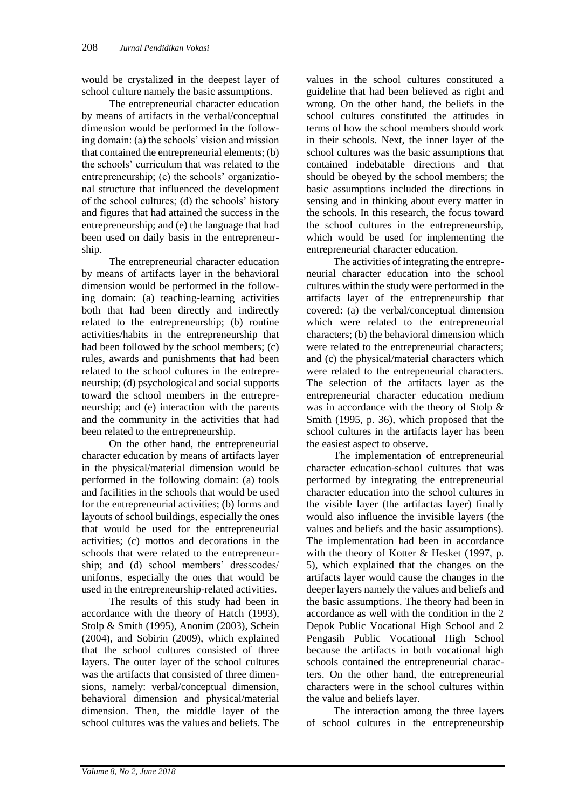would be crystalized in the deepest layer of school culture namely the basic assumptions.

The entrepreneurial character education by means of artifacts in the verbal/conceptual dimension would be performed in the following domain: (a) the schools' vision and mission that contained the entrepreneurial elements; (b) the schools' curriculum that was related to the entrepreneurship; (c) the schools' organizational structure that influenced the development of the school cultures; (d) the schools' history and figures that had attained the success in the entrepreneurship; and (e) the language that had been used on daily basis in the entrepreneurship.

The entrepreneurial character education by means of artifacts layer in the behavioral dimension would be performed in the following domain: (a) teaching-learning activities both that had been directly and indirectly related to the entrepreneurship; (b) routine activities/habits in the entrepreneurship that had been followed by the school members; (c) rules, awards and punishments that had been related to the school cultures in the entrepreneurship; (d) psychological and social supports toward the school members in the entrepreneurship; and (e) interaction with the parents and the community in the activities that had been related to the entrepreneurship.

On the other hand, the entrepreneurial character education by means of artifacts layer in the physical/material dimension would be performed in the following domain: (a) tools and facilities in the schools that would be used for the entrepreneurial activities; (b) forms and layouts of school buildings, especially the ones that would be used for the entrepreneurial activities; (c) mottos and decorations in the schools that were related to the entrepreneurship; and (d) school members' dresscodes/ uniforms, especially the ones that would be used in the entrepreneurship-related activities.

The results of this study had been in accordance with the theory of Hatch (1993), Stolp & Smith (1995), Anonim (2003), Schein (2004), and Sobirin (2009), which explained that the school cultures consisted of three layers. The outer layer of the school cultures was the artifacts that consisted of three dimensions, namely: verbal/conceptual dimension, behavioral dimension and physical/material dimension. Then, the middle layer of the school cultures was the values and beliefs. The

values in the school cultures constituted a guideline that had been believed as right and wrong. On the other hand, the beliefs in the school cultures constituted the attitudes in terms of how the school members should work in their schools. Next, the inner layer of the school cultures was the basic assumptions that contained indebatable directions and that should be obeyed by the school members; the basic assumptions included the directions in sensing and in thinking about every matter in the schools. In this research, the focus toward the school cultures in the entrepreneurship, which would be used for implementing the entrepreneurial character education.

The activities of integrating the entrepreneurial character education into the school cultures within the study were performed in the artifacts layer of the entrepreneurship that covered: (a) the verbal/conceptual dimension which were related to the entrepreneurial characters; (b) the behavioral dimension which were related to the entrepreneurial characters; and (c) the physical/material characters which were related to the entrepeneurial characters. The selection of the artifacts layer as the entrepreneurial character education medium was in accordance with the theory of Stolp & Smith (1995, p. 36), which proposed that the school cultures in the artifacts layer has been the easiest aspect to observe.

The implementation of entrepreneurial character education-school cultures that was performed by integrating the entrepreneurial character education into the school cultures in the visible layer (the artifactas layer) finally would also influence the invisible layers (the values and beliefs and the basic assumptions). The implementation had been in accordance with the theory of Kotter & Hesket (1997, p. 5), which explained that the changes on the artifacts layer would cause the changes in the deeper layers namely the values and beliefs and the basic assumptions. The theory had been in accordance as well with the condition in the 2 Depok Public Vocational High School and 2 Pengasih Public Vocational High School because the artifacts in both vocational high schools contained the entrepreneurial characters. On the other hand, the entrepreneurial characters were in the school cultures within the value and beliefs layer.

The interaction among the three layers of school cultures in the entrepreneurship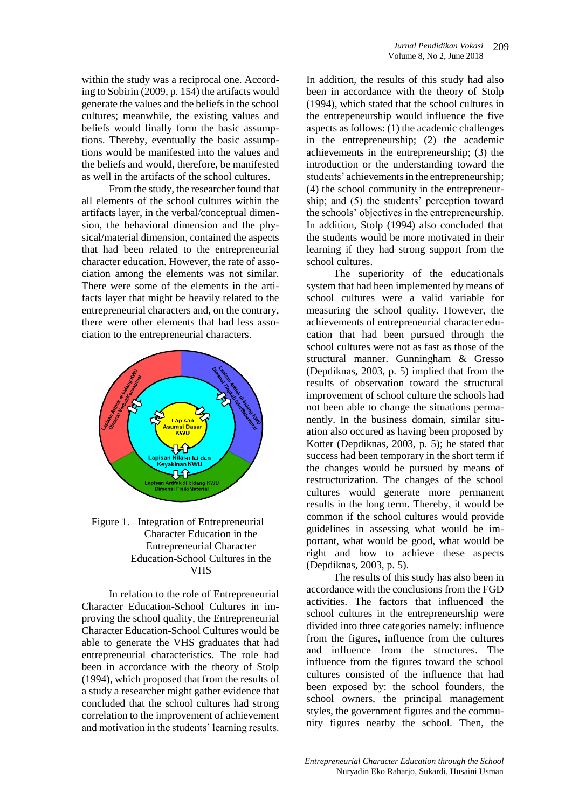within the study was a reciprocal one. According to Sobirin (2009, p. 154) the artifacts would generate the values and the beliefs in the school cultures; meanwhile, the existing values and beliefs would finally form the basic assumptions. Thereby, eventually the basic assumptions would be manifested into the values and the beliefs and would, therefore, be manifested as well in the artifacts of the school cultures.

From the study, the researcher found that all elements of the school cultures within the artifacts layer, in the verbal/conceptual dimension, the behavioral dimension and the physical/material dimension, contained the aspects that had been related to the entrepreneurial character education. However, the rate of association among the elements was not similar. There were some of the elements in the artifacts layer that might be heavily related to the entrepreneurial characters and, on the contrary, there were other elements that had less association to the entrepreneurial characters.



Figure 1. Integration of Entrepreneurial Character Education in the Entrepreneurial Character Education-School Cultures in the VHS

In relation to the role of Entrepreneurial Character Education-School Cultures in improving the school quality, the Entrepreneurial Character Education-School Cultures would be able to generate the VHS graduates that had entrepreneurial characteristics. The role had been in accordance with the theory of Stolp (1994), which proposed that from the results of a study a researcher might gather evidence that concluded that the school cultures had strong correlation to the improvement of achievement and motivation in the students' learning results.

In addition, the results of this study had also been in accordance with the theory of Stolp (1994), which stated that the school cultures in the entrepeneurship would influence the five aspects as follows: (1) the academic challenges in the entrepreneurship; (2) the academic achievements in the entrepreneurship; (3) the introduction or the understanding toward the students' achievements in the entrepreneurship; (4) the school community in the entrepreneurship; and (5) the students' perception toward the schools' objectives in the entrepreneurship. In addition, Stolp (1994) also concluded that the students would be more motivated in their learning if they had strong support from the school cultures.

The superiority of the educationals system that had been implemented by means of school cultures were a valid variable for measuring the school quality. However, the achievements of entrepreneurial character education that had been pursued through the school cultures were not as fast as those of the structural manner. Gunningham & Gresso (Depdiknas, 2003, p. 5) implied that from the results of observation toward the structural improvement of school culture the schools had not been able to change the situations permanently. In the business domain, similar situation also occured as having been proposed by Kotter (Depdiknas, 2003, p. 5); he stated that success had been temporary in the short term if the changes would be pursued by means of restructurization. The changes of the school cultures would generate more permanent results in the long term. Thereby, it would be common if the school cultures would provide guidelines in assessing what would be important, what would be good, what would be right and how to achieve these aspects (Depdiknas, 2003, p. 5).

The results of this study has also been in accordance with the conclusions from the FGD activities. The factors that influenced the school cultures in the entrepreneurship were divided into three categories namely: influence from the figures, influence from the cultures and influence from the structures. The influence from the figures toward the school cultures consisted of the influence that had been exposed by: the school founders, the school owners, the principal management styles, the government figures and the community figures nearby the school. Then, the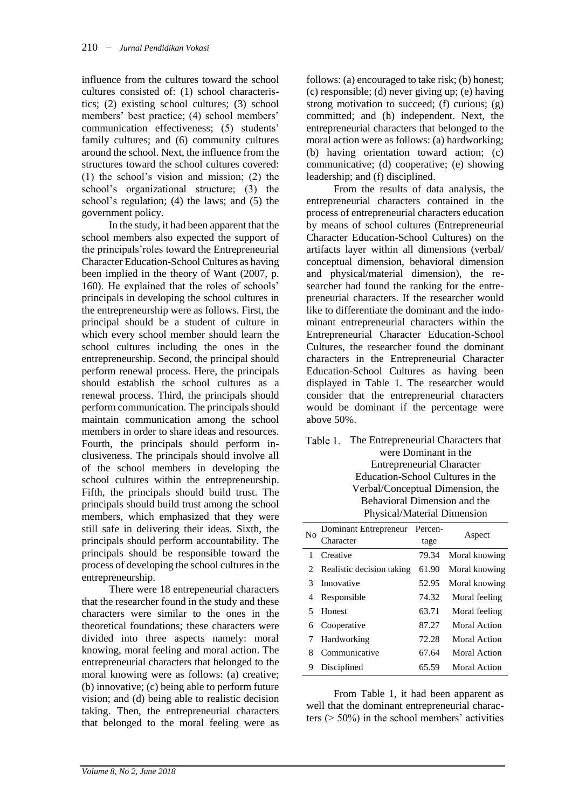influence from the cultures toward the school cultures consisted of: (1) school characteristics; (2) existing school cultures; (3) school members' best practice; (4) school members' communication effectiveness; (5) students' family cultures; and (6) community cultures around the school. Next, the influence from the structures toward the school cultures covered: (1) the school's vision and mission; (2) the school's organizational structure; (3) the school's regulation; (4) the laws; and (5) the government policy.

In the study, it had been apparent that the school members also expected the support of the principals'roles toward the Entrepreneurial Character Education-School Cultures as having been implied in the theory of Want (2007, p. 160). He explained that the roles of schools' principals in developing the school cultures in the entrepreneurship were as follows. First, the principal should be a student of culture in which every school member should learn the school cultures including the ones in the entrepreneurship. Second, the principal should perform renewal process. Here, the principals should establish the school cultures as a renewal process. Third, the principals should perform communication. The principals should maintain communication among the school members in order to share ideas and resources. Fourth, the principals should perform inclusiveness. The principals should involve all of the school members in developing the school cultures within the entrepreneurship. Fifth, the principals should build trust. The principals should build trust among the school members, which emphasized that they were still safe in delivering their ideas. Sixth, the principals should perform accountability. The principals should be responsible toward the process of developing the school cultures in the entrepreneurship.

There were 18 entrepeneurial characters that the researcher found in the study and these characters were similar to the ones in the theoretical foundations; these characters were divided into three aspects namely: moral knowing, moral feeling and moral action. The entrepreneurial characters that belonged to the moral knowing were as follows: (a) creative; (b) innovative; (c) being able to perform future vision; and (d) being able to realistic decision taking. Then, the entrepreneurial characters that belonged to the moral feeling were as

follows: (a) encouraged to take risk; (b) honest; (c) responsible; (d) never giving up; (e) having strong motivation to succeed; (f) curious; (g) committed; and (h) independent. Next, the entrepreneurial characters that belonged to the moral action were as follows: (a) hardworking; (b) having orientation toward action; (c) communicative; (d) cooperative; (e) showing leadership; and (f) disciplined.

From the results of data analysis, the entrepreneurial characters contained in the process of entrepreneurial characters education by means of school cultures (Entrepreneurial Character Education-School Cultures) on the artifacts layer within all dimensions (verbal/ conceptual dimension, behavioral dimension and physical/material dimension), the researcher had found the ranking for the entrepreneurial characters. If the researcher would like to differentiate the dominant and the indominant entrepreneurial characters within the Entrepreneurial Character Education-School Cultures, the researcher found the dominant characters in the Entrepreneurial Character Education-School Cultures as having been displayed in Table 1. The researcher would consider that the entrepreneurial characters would be dominant if the percentage were above 50%.

| Table 1. The Entrepreneurial Characters that |
|----------------------------------------------|
| were Dominant in the                         |
| <b>Entrepreneurial Character</b>             |
| Education-School Cultures in the             |
| Verbal/Conceptual Dimension, the             |
| Behavioral Dimension and the                 |
| Physical/Material Dimension                  |
|                                              |

| N <sub>0</sub> | Dominant Entrepreneur     | Percen- |               |
|----------------|---------------------------|---------|---------------|
|                | ∑haracter                 | tage    | Aspect        |
| 1.             | Creative                  | 79.34   | Moral knowing |
| 2              | Realistic decision taking | 61.90   | Moral knowing |
| 3              | Innovative                | 52.95   | Moral knowing |
| 4              | Responsible               | 74.32   | Moral feeling |
| 5              | Honest                    | 63.71   | Moral feeling |
| 6              | Cooperative               | 87.27   | Moral Action  |
|                | Hardworking               | 72.28   | Moral Action  |
| 8              | Communicative             | 67.64   | Moral Action  |
| 9              | Disciplined               | 65.59   | Moral Action  |

From Table 1, it had been apparent as well that the dominant entrepreneurial characters (> 50%) in the school members' activities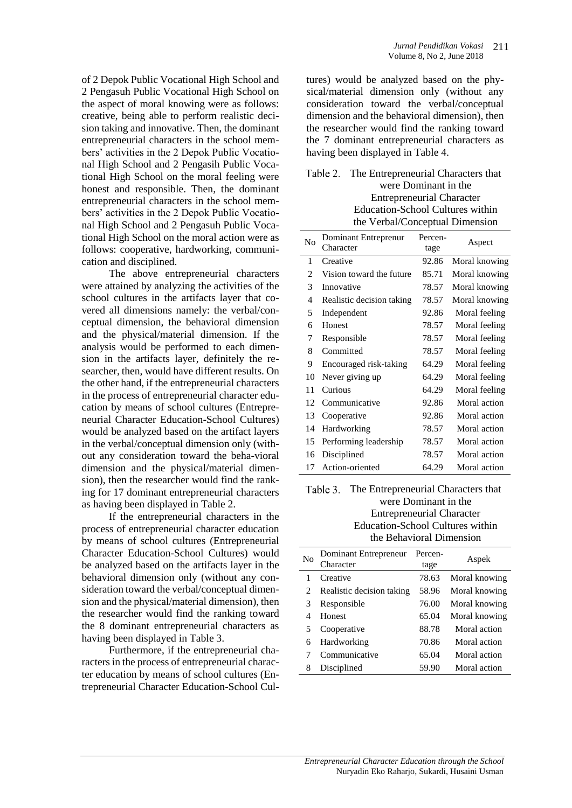of 2 Depok Public Vocational High School and 2 Pengasuh Public Vocational High School on the aspect of moral knowing were as follows: creative, being able to perform realistic decision taking and innovative. Then, the dominant entrepreneurial characters in the school members' activities in the 2 Depok Public Vocational High School and 2 Pengasih Public Vocational High School on the moral feeling were honest and responsible. Then, the dominant entrepreneurial characters in the school members' activities in the 2 Depok Public Vocational High School and 2 Pengasuh Public Vocational High School on the moral action were as follows: cooperative, hardworking, communication and disciplined.

The above entrepreneurial characters were attained by analyzing the activities of the school cultures in the artifacts layer that covered all dimensions namely: the verbal/conceptual dimension, the behavioral dimension and the physical/material dimension. If the analysis would be performed to each dimension in the artifacts layer, definitely the researcher, then, would have different results. On the other hand, if the entrepreneurial characters in the process of entrepreneurial character education by means of school cultures (Entrepreneurial Character Education-School Cultures) would be analyzed based on the artifact layers in the verbal/conceptual dimension only (without any consideration toward the beha-vioral dimension and the physical/material dimension), then the researcher would find the ranking for 17 dominant entrepreneurial characters as having been displayed in Table 2.

If the entrepreneurial characters in the process of entrepreneurial character education by means of school cultures (Entrepreneurial Character Education-School Cultures) would be analyzed based on the artifacts layer in the behavioral dimension only (without any consideration toward the verbal/conceptual dimension and the physical/material dimension), then the researcher would find the ranking toward the 8 dominant entrepreneurial characters as having been displayed in Table 3.

Furthermore, if the entrepreneurial characters in the process of entrepreneurial character education by means of school cultures (Entrepreneurial Character Education-School Cul-

tures) would be analyzed based on the physical/material dimension only (without any consideration toward the verbal/conceptual dimension and the behavioral dimension), then the researcher would find the ranking toward the 7 dominant entrepreneurial characters as having been displayed in Table 4.

| Table 2. The Entrepreneurial Characters that |
|----------------------------------------------|
| were Dominant in the                         |
| <b>Entrepreneurial Character</b>             |
| Education-School Cultures within             |
| the Verbal/Conceptual Dimension              |

| N <sub>0</sub> | Dominant Entreprenur<br>Character | Percen-<br>tage | Aspect        |
|----------------|-----------------------------------|-----------------|---------------|
| 1              | Creative                          | 92.86           | Moral knowing |
| 2              | Vision toward the future          | 85.71           | Moral knowing |
| 3              | Innovative                        | 78.57           | Moral knowing |
| 4              | Realistic decision taking         | 78.57           | Moral knowing |
| 5              | Independent                       | 92.86           | Moral feeling |
| 6              | Honest                            | 78.57           | Moral feeling |
| 7              | Responsible                       | 78.57           | Moral feeling |
| 8              | Committed                         | 78.57           | Moral feeling |
| 9              | Encouraged risk-taking            | 64.29           | Moral feeling |
| 10             | Never giving up                   | 64.29           | Moral feeling |
| 11             | Curious                           | 64.29           | Moral feeling |
| 12             | Communicative                     | 92.86           | Moral action  |
| 13             | Cooperative                       | 92.86           | Moral action  |
| 14             | Hardworking                       | 78.57           | Moral action  |
| 15             | Performing leadership             | 78.57           | Moral action  |
| 16             | Disciplined                       | 78.57           | Moral action  |
| 17             | Action-oriented                   | 64.29           | Moral action  |

#### Table 3. The Entrepreneurial Characters that were Dominant in the Entrepreneurial Character Education-School Cultures within the Behavioral Dimension

| N <sub>0</sub> | Dominant Entrepreneur<br>Character | Percen-<br>tage | Aspek         |
|----------------|------------------------------------|-----------------|---------------|
|                | Creative                           | 78.63           | Moral knowing |
|                | Realistic decision taking          | 58.96           | Moral knowing |
| 3              | Responsible                        | 76.00           | Moral knowing |
| 4              | Honest                             | 65.04           | Moral knowing |
| 5              | Cooperative                        | 88.78           | Moral action  |
| 6              | <b>Hardworking</b>                 | 70.86           | Moral action  |
|                | Communicative                      | 65.04           | Moral action  |
| 8              | Disciplined                        | 59.90           | Moral action  |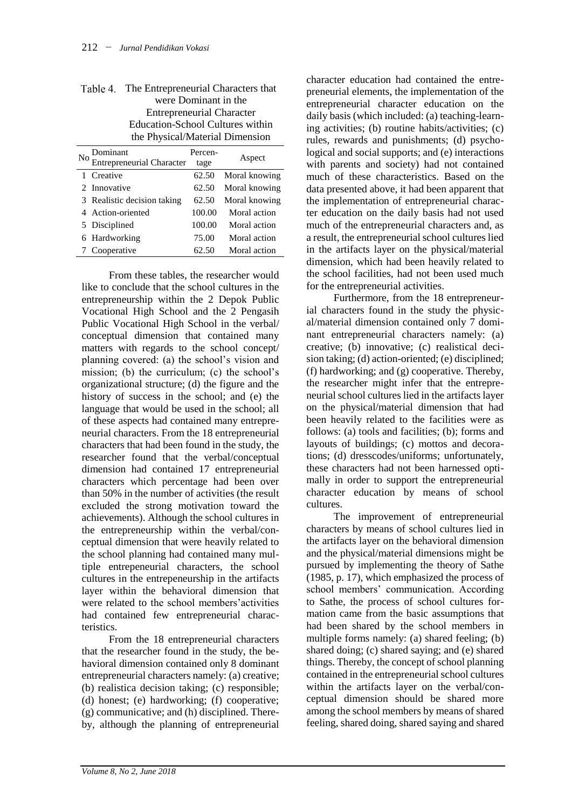|     | were Dominant in the                    |         |               |
|-----|-----------------------------------------|---------|---------------|
|     | <b>Entrepreneurial Character</b>        |         |               |
|     | <b>Education-School Cultures within</b> |         |               |
|     | the Physical/Material Dimension         |         |               |
| No. |                                         | Percen- |               |
|     | Dominant<br>Entrepreneurial Character   | tage    | Aspect        |
|     | 1 Creative                              | 62.50   | Moral knowing |
|     | 2 Innovative                            | 62.50   | Moral knowing |
|     | 3 Realistic decision taking             | 62.50   | Moral knowing |
|     | 4 Action-oriented                       | 100.00  | Moral action  |

5 Disciplined 100.00 Moral action 6 Hardworking 75.00 Moral action 7 Cooperative 62.50 Moral action

| Table 4. The Entrepreneurial Characters that |
|----------------------------------------------|
| were Dominant in the                         |
| <b>Entrepreneurial Character</b>             |
| Education-School Cultures within             |
| the Physical/Material Dimension              |

From these tables, the researcher would like to conclude that the school cultures in the entrepreneurship within the 2 Depok Public Vocational High School and the 2 Pengasih Public Vocational High School in the verbal/ conceptual dimension that contained many matters with regards to the school concept/ planning covered: (a) the school's vision and mission; (b) the curriculum; (c) the school's organizational structure; (d) the figure and the history of success in the school; and (e) the language that would be used in the school; all of these aspects had contained many entrepreneurial characters. From the 18 entrepreneurial characters that had been found in the study, the researcher found that the verbal/conceptual dimension had contained 17 entrepreneurial characters which percentage had been over than 50% in the number of activities (the result excluded the strong motivation toward the achievements). Although the school cultures in the entrepreneurship within the verbal/conceptual dimension that were heavily related to the school planning had contained many multiple entrepeneurial characters, the school cultures in the entrepeneurship in the artifacts layer within the behavioral dimension that were related to the school members'activities had contained few entrepreneurial characteristics.

From the 18 entrepreneurial characters that the researcher found in the study, the behavioral dimension contained only 8 dominant entrepreneurial characters namely: (a) creative; (b) realistica decision taking; (c) responsible; (d) honest; (e) hardworking; (f) cooperative; (g) communicative; and (h) disciplined. Thereby, although the planning of entrepreneurial

character education had contained the entrepreneurial elements, the implementation of the entrepreneurial character education on the daily basis (which included: (a) teaching-learning activities; (b) routine habits/activities; (c) rules, rewards and punishments; (d) psychological and social supports; and (e) interactions with parents and society) had not contained much of these characteristics. Based on the data presented above, it had been apparent that the implementation of entrepreneurial character education on the daily basis had not used much of the entrepreneurial characters and, as a result, the entrepreneurial school cultures lied in the artifacts layer on the physical/material dimension, which had been heavily related to the school facilities, had not been used much for the entrepreneurial activities.

Furthermore, from the 18 entrepreneurial characters found in the study the physical/material dimension contained only 7 dominant entrepreneurial characters namely: (a) creative; (b) innovative; (c) realistical decision taking; (d) action-oriented; (e) disciplined; (f) hardworking; and (g) cooperative. Thereby, the researcher might infer that the entrepreneurial school cultures lied in the artifacts layer on the physical/material dimension that had been heavily related to the facilities were as follows: (a) tools and facilities; (b); forms and layouts of buildings; (c) mottos and decorations; (d) dresscodes/uniforms; unfortunately, these characters had not been harnessed optimally in order to support the entrepreneurial character education by means of school cultures.

The improvement of entrepreneurial characters by means of school cultures lied in the artifacts layer on the behavioral dimension and the physical/material dimensions might be pursued by implementing the theory of Sathe (1985, p. 17), which emphasized the process of school members' communication. According to Sathe, the process of school cultures formation came from the basic assumptions that had been shared by the school members in multiple forms namely: (a) shared feeling; (b) shared doing; (c) shared saying; and (e) shared things. Thereby, the concept of school planning contained in the entrepreneurial school cultures within the artifacts layer on the verbal/conceptual dimension should be shared more among the school members by means of shared feeling, shared doing, shared saying and shared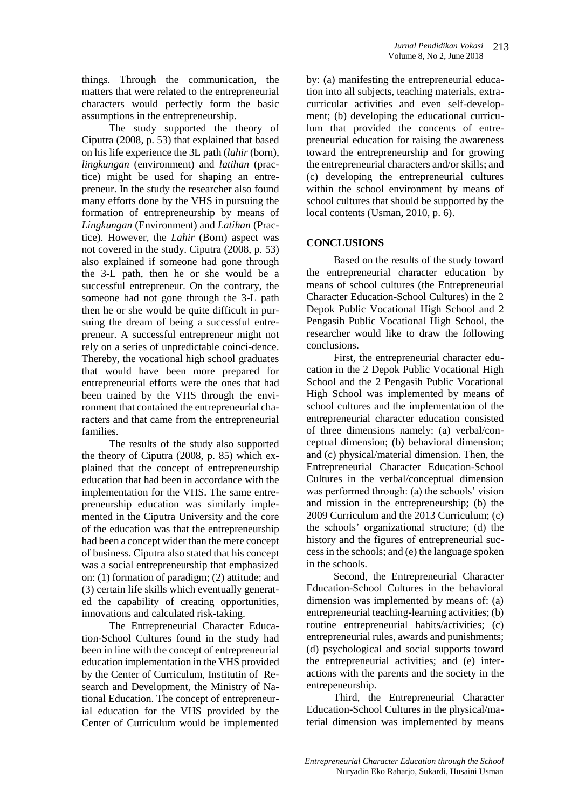things. Through the communication, the matters that were related to the entrepreneurial characters would perfectly form the basic assumptions in the entrepreneurship.

The study supported the theory of Ciputra (2008, p. 53) that explained that based on his life experience the 3L path (*lahir* (born), *lingkungan* (environment) and *latihan* (practice) might be used for shaping an entrepreneur. In the study the researcher also found many efforts done by the VHS in pursuing the formation of entrepreneurship by means of *Lingkungan* (Environment) and *Latihan* (Practice). However, the *Lahir* (Born) aspect was not covered in the study. Ciputra (2008, p. 53) also explained if someone had gone through the 3-L path, then he or she would be a successful entrepreneur. On the contrary, the someone had not gone through the 3-L path then he or she would be quite difficult in pursuing the dream of being a successful entrepreneur. A successful entrepreneur might not rely on a series of unpredictable coinci-dence. Thereby, the vocational high school graduates that would have been more prepared for entrepreneurial efforts were the ones that had been trained by the VHS through the environment that contained the entrepreneurial characters and that came from the entrepreneurial families.

The results of the study also supported the theory of Ciputra (2008, p. 85) which explained that the concept of entrepreneurship education that had been in accordance with the implementation for the VHS. The same entrepreneurship education was similarly implemented in the Ciputra University and the core of the education was that the entrepreneurship had been a concept wider than the mere concept of business. Ciputra also stated that his concept was a social entrepreneurship that emphasized on: (1) formation of paradigm; (2) attitude; and (3) certain life skills which eventually generated the capability of creating opportunities, innovations and calculated risk-taking.

The Entrepreneurial Character Education-School Cultures found in the study had been in line with the concept of entrepreneurial education implementation in the VHS provided by the Center of Curriculum, Institutin of Research and Development, the Ministry of National Education. The concept of entrepreneurial education for the VHS provided by the Center of Curriculum would be implemented

by: (a) manifesting the entrepreneurial education into all subjects, teaching materials, extracurricular activities and even self-development; (b) developing the educational curriculum that provided the concents of entrepreneurial education for raising the awareness toward the entrepreneurship and for growing the entrepreneurial characters and/or skills; and (c) developing the entrepreneurial cultures within the school environment by means of school cultures that should be supported by the local contents (Usman, 2010, p. 6).

### **CONCLUSIONS**

Based on the results of the study toward the entrepreneurial character education by means of school cultures (the Entrepreneurial Character Education-School Cultures) in the 2 Depok Public Vocational High School and 2 Pengasih Public Vocational High School, the researcher would like to draw the following conclusions.

First, the entrepreneurial character education in the 2 Depok Public Vocational High School and the 2 Pengasih Public Vocational High School was implemented by means of school cultures and the implementation of the entrepreneurial character education consisted of three dimensions namely: (a) verbal/conceptual dimension; (b) behavioral dimension; and (c) physical/material dimension. Then, the Entrepreneurial Character Education-School Cultures in the verbal/conceptual dimension was performed through: (a) the schools' vision and mission in the entrepreneurship; (b) the 2009 Curriculum and the 2013 Curriculum; (c) the schools' organizational structure; (d) the history and the figures of entrepreneurial success in the schools; and (e) the language spoken in the schools.

Second, the Entrepreneurial Character Education-School Cultures in the behavioral dimension was implemented by means of: (a) entrepreneurial teaching-learning activities; (b) routine entrepreneurial habits/activities; (c) entrepreneurial rules, awards and punishments; (d) psychological and social supports toward the entrepreneurial activities; and (e) interactions with the parents and the society in the entrepeneurship.

Third, the Entrepreneurial Character Education-School Cultures in the physical/material dimension was implemented by means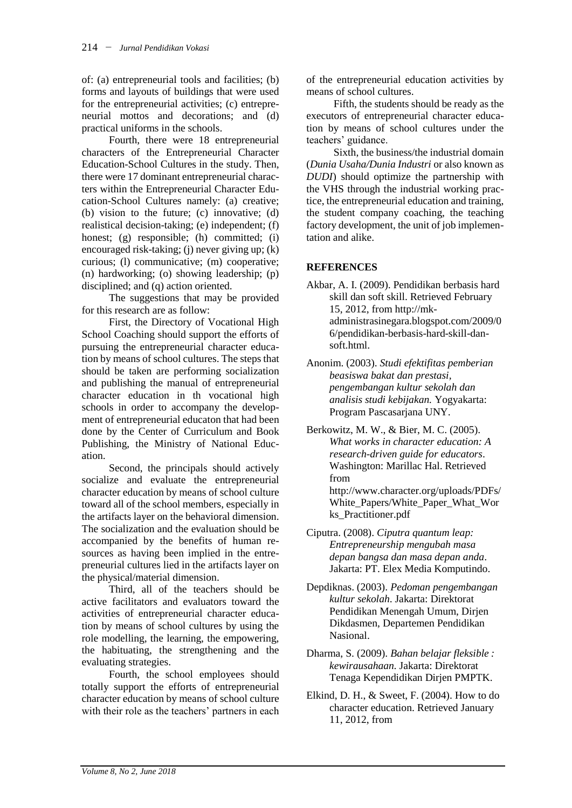of: (a) entrepreneurial tools and facilities; (b) forms and layouts of buildings that were used for the entrepreneurial activities; (c) entrepreneurial mottos and decorations; and (d) practical uniforms in the schools.

Fourth, there were 18 entrepreneurial characters of the Entrepreneurial Character Education-School Cultures in the study. Then, there were 17 dominant entrepreneurial characters within the Entrepreneurial Character Education-School Cultures namely: (a) creative; (b) vision to the future; (c) innovative; (d) realistical decision-taking; (e) independent; (f) honest; (g) responsible; (h) committed; (i) encouraged risk-taking; (j) never giving up; (k) curious; (l) communicative; (m) cooperative; (n) hardworking; (o) showing leadership; (p) disciplined; and (q) action oriented.

The suggestions that may be provided for this research are as follow:

First, the Directory of Vocational High School Coaching should support the efforts of pursuing the entrepreneurial character education by means of school cultures. The steps that should be taken are performing socialization and publishing the manual of entrepreneurial character education in th vocational high schools in order to accompany the development of entrepreneurial educaton that had been done by the Center of Curriculum and Book Publishing, the Ministry of National Education.

Second, the principals should actively socialize and evaluate the entrepreneurial character education by means of school culture toward all of the school members, especially in the artifacts layer on the behavioral dimension. The socialization and the evaluation should be accompanied by the benefits of human resources as having been implied in the entrepreneurial cultures lied in the artifacts layer on the physical/material dimension.

Third, all of the teachers should be active facilitators and evaluators toward the activities of entrepreneurial character education by means of school cultures by using the role modelling, the learning, the empowering, the habituating, the strengthening and the evaluating strategies.

Fourth, the school employees should totally support the efforts of entrepreneurial character education by means of school culture with their role as the teachers' partners in each

of the entrepreneurial education activities by means of school cultures.

Fifth, the students should be ready as the executors of entrepreneurial character education by means of school cultures under the teachers' guidance.

Sixth, the business/the industrial domain (*Dunia Usaha/Dunia Industri* or also known as *DUDI*) should optimize the partnership with the VHS through the industrial working practice, the entrepreneurial education and training, the student company coaching, the teaching factory development, the unit of job implementation and alike.

## **REFERENCES**

- Akbar, A. I. (2009). Pendidikan berbasis hard skill dan soft skill. Retrieved February 15, 2012, from http://mkadministrasinegara.blogspot.com/2009/0 6/pendidikan-berbasis-hard-skill-dansoft html
- Anonim. (2003). *Studi efektifitas pemberian beasiswa bakat dan prestasi, pengembangan kultur sekolah dan analisis studi kebijakan.* Yogyakarta: Program Pascasarjana UNY.
- Berkowitz, M. W., & Bier, M. C. (2005). *What works in character education: A research-driven guide for educators*. Washington: Marillac Hal. Retrieved from http://www.character.org/uploads/PDFs/ White\_Papers/White\_Paper\_What\_Wor ks\_Practitioner.pdf

Ciputra. (2008). *Ciputra quantum leap: Entrepreneurship mengubah masa depan bangsa dan masa depan anda*. Jakarta: PT. Elex Media Komputindo.

- Depdiknas. (2003). *Pedoman pengembangan kultur sekolah*. Jakarta: Direktorat Pendidikan Menengah Umum, Dirjen Dikdasmen, Departemen Pendidikan Nasional.
- Dharma, S. (2009). *Bahan belajar fleksible : kewirausahaan.* Jakarta: Direktorat Tenaga Kependidikan Dirjen PMPTK.
- Elkind, D. H., & Sweet, F. (2004). How to do character education. Retrieved January 11, 2012, from